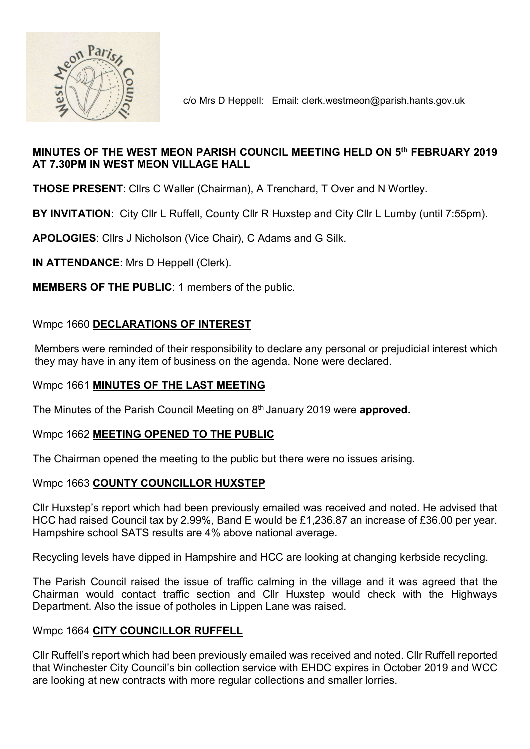

c/o Mrs D Heppell: Email: clerk.westmeon@parish.hants.gov.uk

# MINUTES OF THE WEST MEON PARISH COUNCIL MEETING HELD ON 5th FEBRUARY 2019 AT 7.30PM IN WEST MEON VILLAGE HALL

THOSE PRESENT: Cllrs C Waller (Chairman), A Trenchard, T Over and N Wortley.

BY INVITATION: City Cllr L Ruffell, County Cllr R Huxstep and City Cllr L Lumby (until 7:55pm).

APOLOGIES: Cllrs J Nicholson (Vice Chair), C Adams and G Silk.

IN ATTENDANCE: Mrs D Heppell (Clerk).

MEMBERS OF THE PUBLIC: 1 members of the public.

# Wmpc 1660 DECLARATIONS OF INTEREST

 Members were reminded of their responsibility to declare any personal or prejudicial interest which they may have in any item of business on the agenda. None were declared.

## Wmpc 1661 MINUTES OF THE LAST MEETING

The Minutes of the Parish Council Meeting on 8<sup>th</sup> January 2019 were **approved.** 

## Wmpc 1662 MEETING OPENED TO THE PUBLIC

The Chairman opened the meeting to the public but there were no issues arising.

## Wmpc 1663 COUNTY COUNCILLOR HUXSTEP

Cllr Huxstep's report which had been previously emailed was received and noted. He advised that HCC had raised Council tax by 2.99%, Band E would be £1,236.87 an increase of £36.00 per year. Hampshire school SATS results are 4% above national average.

Recycling levels have dipped in Hampshire and HCC are looking at changing kerbside recycling.

The Parish Council raised the issue of traffic calming in the village and it was agreed that the Chairman would contact traffic section and Cllr Huxstep would check with the Highways Department. Also the issue of potholes in Lippen Lane was raised.

## Wmpc 1664 CITY COUNCILLOR RUFFELL

Cllr Ruffell's report which had been previously emailed was received and noted. Cllr Ruffell reported that Winchester City Council's bin collection service with EHDC expires in October 2019 and WCC are looking at new contracts with more regular collections and smaller lorries.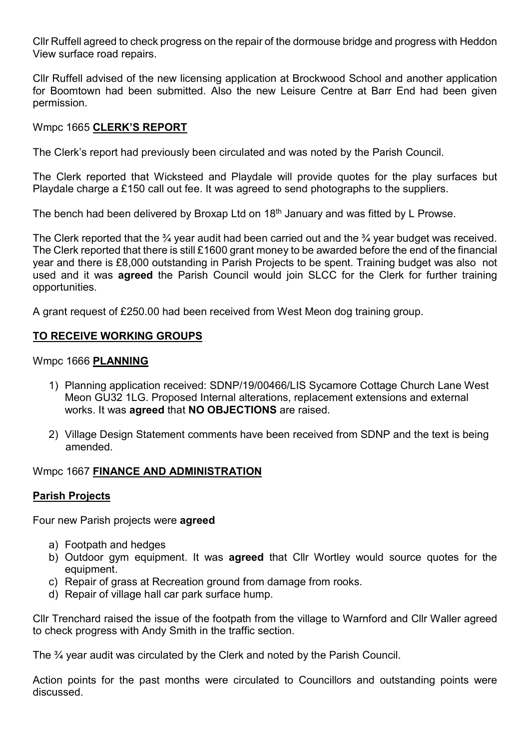Cllr Ruffell agreed to check progress on the repair of the dormouse bridge and progress with Heddon View surface road repairs.

Cllr Ruffell advised of the new licensing application at Brockwood School and another application for Boomtown had been submitted. Also the new Leisure Centre at Barr End had been given permission.

## Wmpc 1665 CLERK'S REPORT

The Clerk's report had previously been circulated and was noted by the Parish Council.

The Clerk reported that Wicksteed and Playdale will provide quotes for the play surfaces but Playdale charge a £150 call out fee. It was agreed to send photographs to the suppliers.

The bench had been delivered by Broxap Ltd on 18<sup>th</sup> January and was fitted by L Prowse.

The Clerk reported that the <sup>3</sup>/4 year audit had been carried out and the <sup>3</sup>/4 year budget was received. The Clerk reported that there is still £1600 grant money to be awarded before the end of the financial year and there is £8,000 outstanding in Parish Projects to be spent. Training budget was also not used and it was agreed the Parish Council would join SLCC for the Clerk for further training opportunities.

A grant request of £250.00 had been received from West Meon dog training group.

## TO RECEIVE WORKING GROUPS

### Wmpc 1666 PLANNING

- 1) Planning application received: SDNP/19/00466/LIS Sycamore Cottage Church Lane West Meon GU32 1LG. Proposed Internal alterations, replacement extensions and external works. It was agreed that NO OBJECTIONS are raised.
- 2) Village Design Statement comments have been received from SDNP and the text is being amended.

## Wmpc 1667 FINANCE AND ADMINISTRATION

## Parish Projects

Four new Parish projects were agreed

- a) Footpath and hedges
- b) Outdoor gym equipment. It was **agreed** that Cllr Wortley would source quotes for the equipment.
- c) Repair of grass at Recreation ground from damage from rooks.
- d) Repair of village hall car park surface hump.

Cllr Trenchard raised the issue of the footpath from the village to Warnford and Cllr Waller agreed to check progress with Andy Smith in the traffic section.

The ¾ year audit was circulated by the Clerk and noted by the Parish Council.

Action points for the past months were circulated to Councillors and outstanding points were discussed.